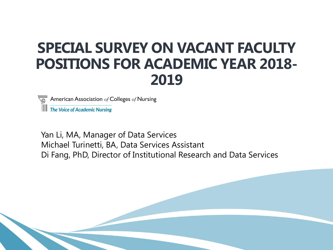# **SPECIAL SURVEY ON VACANT FACULTY POSITIONS FOR ACADEMIC YEAR 2018- 2019**

American Association  $of$  Colleges  $of$  Nursing

**The Voice of Academic Nursing** 

Yan Li, MA, Manager of Data Services Michael Turinetti, BA, Data Services Assistant Di Fang, PhD, Director of Institutional Research and Data Services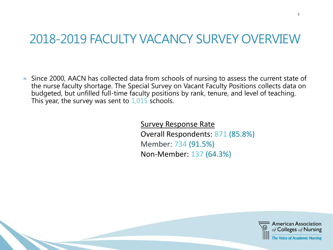# 2018-2019 FACULTY VACANCY SURVEY OVERVIEW

» Since 2000, AACN has collected data from schools of nursing to assess the current state of the nurse faculty shortage. The Special Survey on Vacant Faculty Positions collects data on budgeted, but unfilled full-time faculty positions by rank, tenure, and level of teaching. This year, the survey was sent to  $1,015$  schools.

> Survey Response Rate Overall Respondents: 871 (85.8%) Member: 734 (91.5%) Non-Member: 137 (64.3%)



1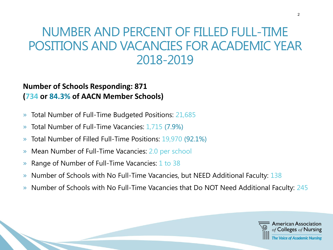### NUMBER AND PERCENT OF FILLED FULL-TIME POSITIONS AND VACANCIES FOR ACADEMIC YEAR 2018-2019

#### **Number of Schools Responding: 871 (734 or 84.3% of AACN Member Schools)**

- » Total Number of Full-Time Budgeted Positions: 21,685
- » Total Number of Full-Time Vacancies: 1,715 (7.9%)
- » Total Number of Filled Full-Time Positions: 19,970 (92.1%)
- » Mean Number of Full-Time Vacancies: 2.0 per school
- » Range of Number of Full-Time Vacancies: 1 to 38
- » Number of Schools with No Full-Time Vacancies, but NEED Additional Faculty: 138
- » Number of Schools with No Full-Time Vacancies that Do NOT Need Additional Faculty: 245

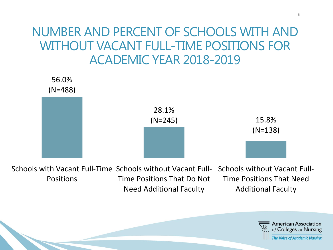### NUMBER AND PERCENT OF SCHOOLS WITH AND WITHOUT VACANT FULL-TIME POSITIONS FOR ACADEMIC YEAR 2018-2019



Schools with Vacant Full-Time Schools without Vacant Full- Schools without Vacant Full-Positions Time Positions That Do Not Need Additional Faculty Time Positions That Need Additional Faculty

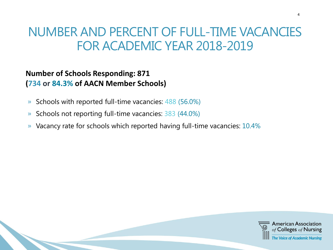### NUMBER AND PERCENT OF FULL-TIME VACANCIES FOR ACADEMIC YEAR 2018-2019

#### **Number of Schools Responding: 871 (734 or 84.3% of AACN Member Schools)**

- » Schools with reported full-time vacancies: 488 (56.0%)
- » Schools not reporting full-time vacancies: 383 (44.0%)
- » Vacancy rate for schools which reported having full-time vacancies: 10.4%

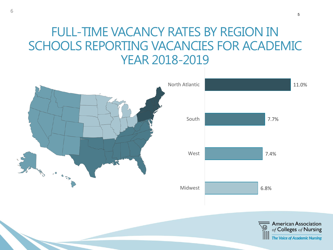### FULL-TIME VACANCY RATES BY REGION IN SCHOOLS REPORTING VACANCIES FOR ACADEMIC YEAR 2018-2019



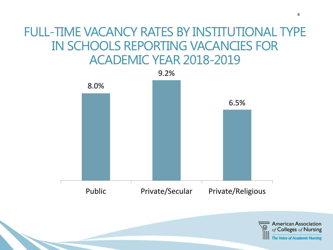### FULL-TIME VACANCY RATES BY INSTITUTIONAL TYPE IN SCHOOLS REPORTING VACANCIES FOR ACADEMIC YEAR 2018-2019



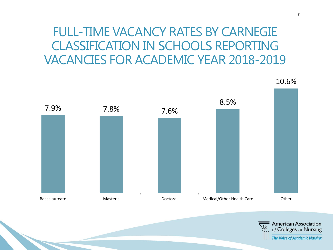### FULL-TIME VACANCY RATES BY CARNEGIE CLASSIFICATION IN SCHOOLS REPORTING VACANCIES FOR ACADEMIC YEAR 2018-2019



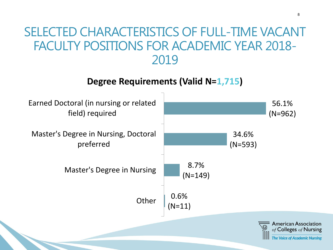#### **Degree Requirements (Valid N=1,715)**



8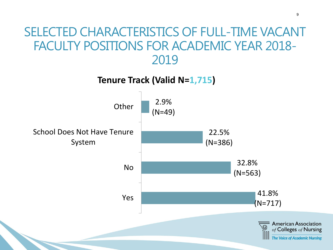**Tenure Track (Valid N=1,715)**

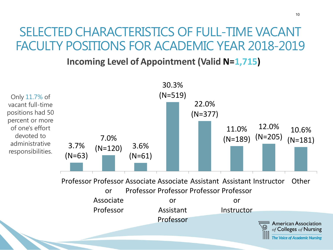**Incoming Level of Appointment (Valid N=1,715)**

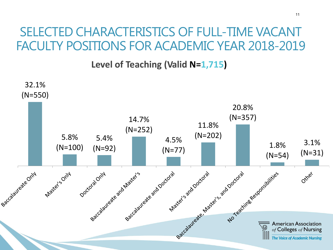**Level of Teaching (Valid N=1,715)**

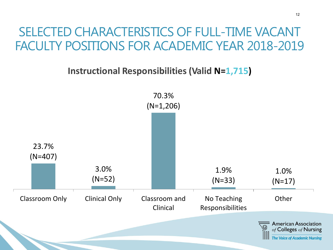**Instructional Responsibilities (Valid N=1,715)**

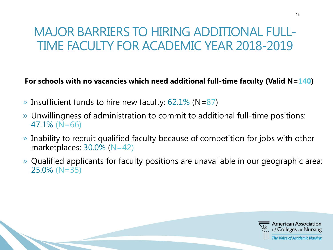# MAJOR BARRIERS TO HIRING ADDITIONAL FULL-TIME FACULTY FOR ACADEMIC YEAR 2018-2019

#### **For schools with no vacancies which need additional full-time faculty (Valid N=140)**

- » Insufficient funds to hire new faculty:  $62.1\%$  (N=87)
- » Unwillingness of administration to commit to additional full-time positions: 47.1% (N=66)
- » Inability to recruit qualified faculty because of competition for jobs with other marketplaces:  $30.0\%$  (N=42)
- » Qualified applicants for faculty positions are unavailable in our geographic area: 25.0% (N=35)

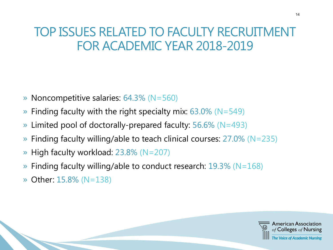# TOP ISSUES RELATED TO FACULTY RECRUITMENT FOR ACADEMIC YEAR 2018-2019

- » Noncompetitive salaries: 64.3% (N=560)
- $\rightarrow$  Finding faculty with the right specialty mix: 63.0% (N=549)
- » Limited pool of doctorally-prepared faculty: 56.6% (N=493)
- » Finding faculty willing/able to teach clinical courses: 27.0% (N=235)
- » High faculty workload: 23.8% (N=207)
- $\rightarrow$  Finding faculty willing/able to conduct research: 19.3% (N=168)
- » Other: 15.8% (N=138)

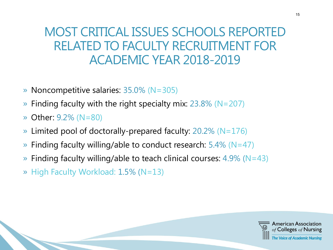### MOST CRITICAL ISSUES SCHOOLS REPORTED RELATED TO FACULTY RECRUITMENT FOR ACADEMIC YEAR 2018-2019

- » Noncompetitive salaries: 35.0% (N=305)
- $\rightarrow$  Finding faculty with the right specialty mix: 23.8% (N=207)
- » Other: 9.2% (N=80)
- $\rightarrow$  Limited pool of doctorally-prepared faculty: 20.2% (N=176)
- » Finding faculty willing/able to conduct research: 5.4% (N=47)
- $\rightarrow$  Finding faculty willing/able to teach clinical courses: 4.9% (N=43)
- » High Faculty Workload: 1.5% (N=13)